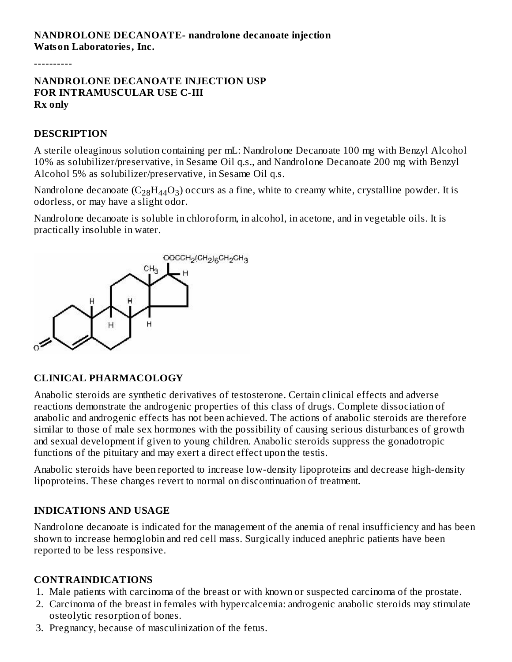----------

**NANDROLONE DECANOATE INJECTION USP FOR INTRAMUSCULAR USE C-III Rx only**

### **DESCRIPTION**

A sterile oleaginous solution containing per mL: Nandrolone Decanoate 100 mg with Benzyl Alcohol 10% as solubilizer/preservative, in Sesame Oil q.s., and Nandrolone Decanoate 200 mg with Benzyl Alcohol 5% as solubilizer/preservative, in Sesame Oil q.s.

Nandrolone decanoate (C $_{28}$ H $_{44}$ O $_{3}$ ) occurs as a fine, white to creamy white, crystalline powder. It is odorless, or may have a slight odor.

Nandrolone decanoate is soluble in chloroform, in alcohol, in acetone, and in vegetable oils. It is practically insoluble in water.



### **CLINICAL PHARMACOLOGY**

Anabolic steroids are synthetic derivatives of testosterone. Certain clinical effects and adverse reactions demonstrate the androgenic properties of this class of drugs. Complete dissociation of anabolic and androgenic effects has not been achieved. The actions of anabolic steroids are therefore similar to those of male sex hormones with the possibility of causing serious disturbances of growth and sexual development if given to young children. Anabolic steroids suppress the gonadotropic functions of the pituitary and may exert a direct effect upon the testis.

Anabolic steroids have been reported to increase low-density lipoproteins and decrease high-density lipoproteins. These changes revert to normal on discontinuation of treatment.

# **INDICATIONS AND USAGE**

Nandrolone decanoate is indicated for the management of the anemia of renal insufficiency and has been shown to increase hemoglobin and red cell mass. Surgically induced anephric patients have been reported to be less responsive.

### **CONTRAINDICATIONS**

- 1. Male patients with carcinoma of the breast or with known or suspected carcinoma of the prostate.
- 2. Carcinoma of the breast in females with hypercalcemia: androgenic anabolic steroids may stimulate osteolytic resorption of bones.
- 3. Pregnancy, because of masculinization of the fetus.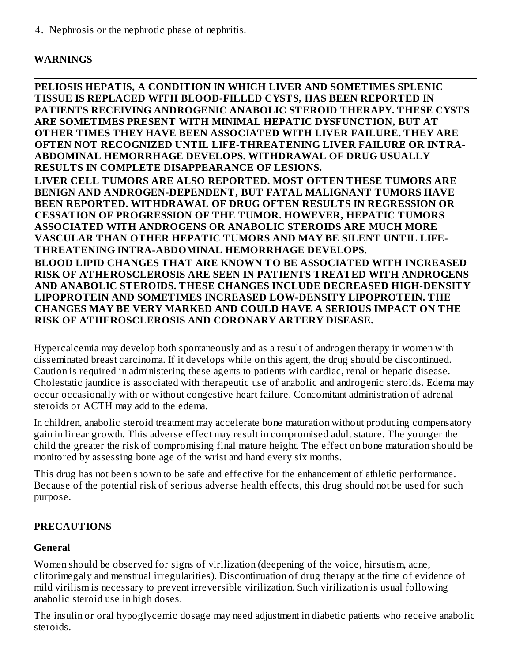4. Nephrosis or the nephrotic phase of nephritis.

# **WARNINGS**

**PELIOSIS HEPATIS, A CONDITION IN WHICH LIVER AND SOMETIMES SPLENIC TISSUE IS REPLACED WITH BLOOD-FILLED CYSTS, HAS BEEN REPORTED IN PATIENTS RECEIVING ANDROGENIC ANABOLIC STEROID THERAPY. THESE CYSTS ARE SOMETIMES PRESENT WITH MINIMAL HEPATIC DYSFUNCTION, BUT AT OTHER TIMES THEY HAVE BEEN ASSOCIATED WITH LIVER FAILURE. THEY ARE OFTEN NOT RECOGNIZED UNTIL LIFE-THREATENING LIVER FAILURE OR INTRA-ABDOMINAL HEMORRHAGE DEVELOPS. WITHDRAWAL OF DRUG USUALLY RESULTS IN COMPLETE DISAPPEARANCE OF LESIONS. LIVER CELL TUMORS ARE ALSO REPORTED. MOST OFTEN THESE TUMORS ARE BENIGN AND ANDROGEN-DEPENDENT, BUT FATAL MALIGNANT TUMORS HAVE BEEN REPORTED. WITHDRAWAL OF DRUG OFTEN RESULTS IN REGRESSION OR CESSATION OF PROGRESSION OF THE TUMOR. HOWEVER, HEPATIC TUMORS ASSOCIATED WITH ANDROGENS OR ANABOLIC STEROIDS ARE MUCH MORE VASCULAR THAN OTHER HEPATIC TUMORS AND MAY BE SILENT UNTIL LIFE-THREATENING INTRA-ABDOMINAL HEMORRHAGE DEVELOPS. BLOOD LIPID CHANGES THAT ARE KNOWN TO BE ASSOCIATED WITH INCREASED RISK OF ATHEROSCLEROSIS ARE SEEN IN PATIENTS TREATED WITH ANDROGENS AND ANABOLIC STEROIDS. THESE CHANGES INCLUDE DECREASED HIGH-DENSITY LIPOPROTEIN AND SOMETIMES INCREASED LOW-DENSITY LIPOPROTEIN. THE CHANGES MAY BE VERY MARKED AND COULD HAVE A SERIOUS IMPACT ON THE RISK OF ATHEROSCLEROSIS AND CORONARY ARTERY DISEASE.**

Hypercalcemia may develop both spontaneously and as a result of androgen therapy in women with disseminated breast carcinoma. If it develops while on this agent, the drug should be discontinued. Caution is required in administering these agents to patients with cardiac, renal or hepatic disease. Cholestatic jaundice is associated with therapeutic use of anabolic and androgenic steroids. Edema may occur occasionally with or without congestive heart failure. Concomitant administration of adrenal steroids or ACTH may add to the edema.

In children, anabolic steroid treatment may accelerate bone maturation without producing compensatory gain in linear growth. This adverse effect may result in compromised adult stature. The younger the child the greater the risk of compromising final mature height. The effect on bone maturation should be monitored by assessing bone age of the wrist and hand every six months.

This drug has not been shown to be safe and effective for the enhancement of athletic performance. Because of the potential risk of serious adverse health effects, this drug should not be used for such purpose.

# **PRECAUTIONS**

# **General**

Women should be observed for signs of virilization (deepening of the voice, hirsutism, acne, clitorimegaly and menstrual irregularities). Discontinuation of drug therapy at the time of evidence of mild virilism is necessary to prevent irreversible virilization. Such virilization is usual following anabolic steroid use in high doses.

The insulin or oral hypoglycemic dosage may need adjustment in diabetic patients who receive anabolic steroids.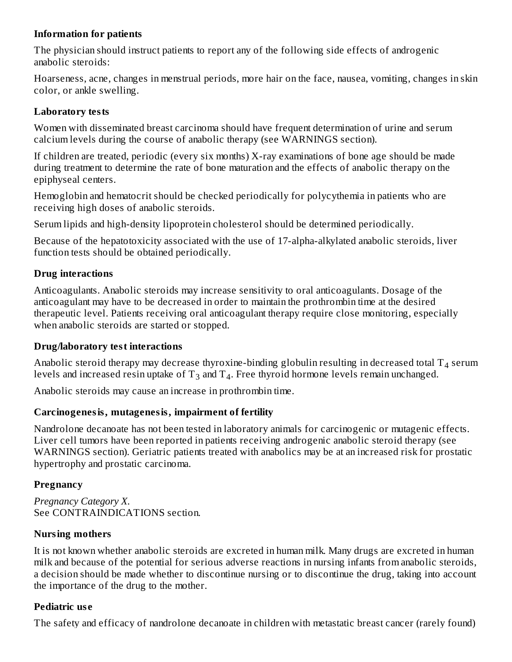## **Information for patients**

The physician should instruct patients to report any of the following side effects of androgenic anabolic steroids:

Hoarseness, acne, changes in menstrual periods, more hair on the face, nausea, vomiting, changes in skin color, or ankle swelling.

## **Laboratory tests**

Women with disseminated breast carcinoma should have frequent determination of urine and serum calcium levels during the course of anabolic therapy (see WARNINGS section).

If children are treated, periodic (every six months)  $X$ -ray examinations of bone age should be made during treatment to determine the rate of bone maturation and the effects of anabolic therapy on the epiphyseal centers.

Hemoglobin and hematocrit should be checked periodically for polycythemia in patients who are receiving high doses of anabolic steroids.

Serum lipids and high-density lipoprotein cholesterol should be determined periodically.

Because of the hepatotoxicity associated with the use of 17-alpha-alkylated anabolic steroids, liver function tests should be obtained periodically.

# **Drug interactions**

Anticoagulants. Anabolic steroids may increase sensitivity to oral anticoagulants. Dosage of the anticoagulant may have to be decreased in order to maintain the prothrombin time at the desired therapeutic level. Patients receiving oral anticoagulant therapy require close monitoring, especially when anabolic steroids are started or stopped.

# **Drug/laboratory test interactions**

Anabolic steroid therapy may decrease thyroxine-binding globulin resulting in decreased total T<sub>4</sub> serum levels and increased resin uptake of  $\text{T}_3$  and  $\text{T}_4$ . Free thyroid hormone levels remain unchanged.

Anabolic steroids may cause an increase in prothrombin time.

# **Carcinogenesis, mutagenesis, impairment of fertility**

Nandrolone decanoate has not been tested in laboratory animals for carcinogenic or mutagenic effects. Liver cell tumors have been reported in patients receiving androgenic anabolic steroid therapy (see WARNINGS section). Geriatric patients treated with anabolics may be at an increased risk for prostatic hypertrophy and prostatic carcinoma.

# **Pregnancy**

*Pregnancy Category X.* See CONTRAINDICATIONS section.

# **Nursing mothers**

It is not known whether anabolic steroids are excreted in human milk. Many drugs are excreted in human milk and because of the potential for serious adverse reactions in nursing infants from anabolic steroids, a decision should be made whether to discontinue nursing or to discontinue the drug, taking into account the importance of the drug to the mother.

# **Pediatric us e**

The safety and efficacy of nandrolone decanoate in children with metastatic breast cancer (rarely found)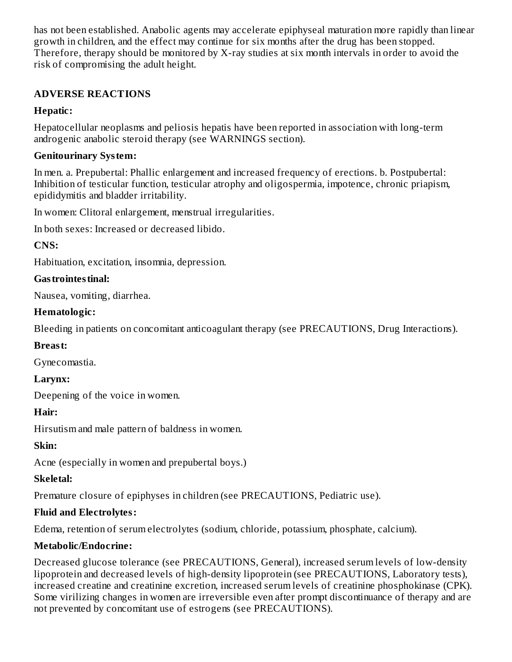has not been established. Anabolic agents may accelerate epiphyseal maturation more rapidly than linear growth in children, and the effect may continue for six months after the drug has been stopped. Therefore, therapy should be monitored by X-ray studies at six month intervals in order to avoid the risk of compromising the adult height.

# **ADVERSE REACTIONS**

# **Hepatic:**

Hepatocellular neoplasms and peliosis hepatis have been reported in association with long-term androgenic anabolic steroid therapy (see WARNINGS section).

# **Genitourinary System:**

In men. a. Prepubertal: Phallic enlargement and increased frequency of erections. b. Postpubertal: Inhibition of testicular function, testicular atrophy and oligospermia, impotence, chronic priapism, epididymitis and bladder irritability.

In women: Clitoral enlargement, menstrual irregularities.

In both sexes: Increased or decreased libido.

**CNS:**

Habituation, excitation, insomnia, depression.

# **Gastrointestinal:**

Nausea, vomiting, diarrhea.

# **Hematologic:**

Bleeding in patients on concomitant anticoagulant therapy (see PRECAUTIONS, Drug Interactions).

# **Breast:**

Gynecomastia.

**Larynx:**

Deepening of the voice in women.

# **Hair:**

Hirsutism and male pattern of baldness in women.

**Skin:**

Acne (especially in women and prepubertal boys.)

# **Skeletal:**

Premature closure of epiphyses in children (see PRECAUTIONS, Pediatric use).

# **Fluid and Electrolytes:**

Edema, retention of serum electrolytes (sodium, chloride, potassium, phosphate, calcium).

# **Metabolic/Endocrine:**

Decreased glucose tolerance (see PRECAUTIONS, General), increased serum levels of low-density lipoprotein and decreased levels of high-density lipoprotein (see PRECAUTIONS, Laboratory tests), increased creatine and creatinine excretion, increased serum levels of creatinine phosphokinase (CPK). Some virilizing changes in women are irreversible even after prompt discontinuance of therapy and are not prevented by concomitant use of estrogens (see PRECAUTIONS).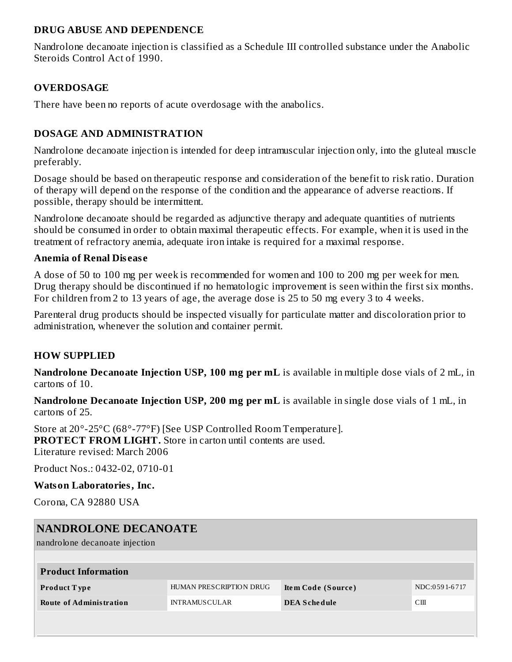### **DRUG ABUSE AND DEPENDENCE**

Nandrolone decanoate injection is classified as a Schedule III controlled substance under the Anabolic Steroids Control Act of 1990.

# **OVERDOSAGE**

There have been no reports of acute overdosage with the anabolics.

# **DOSAGE AND ADMINISTRATION**

Nandrolone decanoate injection is intended for deep intramuscular injection only, into the gluteal muscle preferably.

Dosage should be based on therapeutic response and consideration of the benefit to risk ratio. Duration of therapy will depend on the response of the condition and the appearance of adverse reactions. If possible, therapy should be intermittent.

Nandrolone decanoate should be regarded as adjunctive therapy and adequate quantities of nutrients should be consumed in order to obtain maximal therapeutic effects. For example, when it is used in the treatment of refractory anemia, adequate iron intake is required for a maximal response.

### **Anemia of Renal Dis eas e**

A dose of 50 to 100 mg per week is recommended for women and 100 to 200 mg per week for men. Drug therapy should be discontinued if no hematologic improvement is seen within the first six months. For children from 2 to 13 years of age, the average dose is 25 to 50 mg every 3 to 4 weeks.

Parenteral drug products should be inspected visually for particulate matter and discoloration prior to administration, whenever the solution and container permit.

# **HOW SUPPLIED**

**Nandrolone Decanoate Injection USP, 100 mg per mL** is available in multiple dose vials of 2 mL, in cartons of 10.

**Nandrolone Decanoate Injection USP, 200 mg per mL** is available in single dose vials of 1 mL, in cartons of 25.

Store at 20°-25°C (68°-77°F) [See USP Controlled Room Temperature]. **PROTECT FROM LIGHT.** Store in carton until contents are used. Literature revised: March 2006

Product Nos.: 0432-02, 0710-01

### **Watson Laboratories, Inc.**

Corona, CA 92880 USA

| NANDROLONE DECANOATE<br>nandrolone decanoate injection |                         |                     |               |  |  |  |
|--------------------------------------------------------|-------------------------|---------------------|---------------|--|--|--|
| <b>Product Information</b>                             |                         |                     |               |  |  |  |
| Product Type                                           | HUMAN PRESCRIPTION DRUG | Item Code (Source)  | NDC:0591-6717 |  |  |  |
| <b>Route of Administration</b>                         | <b>INTRAMUSCULAR</b>    | <b>DEA Schedule</b> | CШ            |  |  |  |
|                                                        |                         |                     |               |  |  |  |